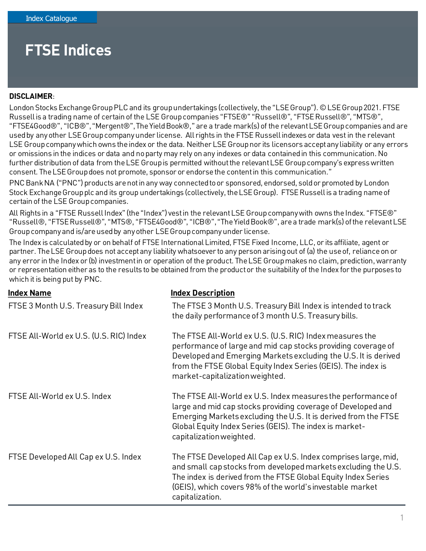## **FTSE Indices**

## **DISCLAIMER**:

London Stocks Exchange Group PLC and its group undertakings (collectively, the "LSE Group"). © LSE Group 2021. FTSE Russell is a trading name of certain of the LSE Group companies "FTSE®" "Russell®", "FTSE Russell®", "MTS®", "FTSE4Good®", "ICB®", "Mergent®", The Yield Book®," are a trade mark(s) of the relevant LSE Group companies and are used by any other LSE Group company under license. All rights in the FTSE Russell indexes or data vest in the relevant LSE Group company which owns the index or the data. Neither LSE Group nor its licensors accept any liability or any errors or omissions in the indices or data and no party may rely on any indexes or data contained in this communication. No further distribution of data from the LSE Group is permitted without the relevant LSE Group company's express written consent. The LSE Group does not promote, sponsor or endorse the content in this communication."

PNC Bank NA ("PNC") products are not in any way connected to or sponsored, endorsed, sold or promoted by London Stock Exchange Group plc and its group undertakings (collectively, the LSE Group). FTSE Russell is a trading name of certain of the LSE Group companies.

All Rights in a "FTSE Russell Index" (the "Index") vest in the relevant LSE Group company with owns the Index. "FTSE®" "Russell®, "FTSE Russell®", "MTS®, "FTSE4Good®", "ICB®", "The Yield Book®", are a trade mark(s) of the relevant LSE Group company and is/are used by any other LSE Group company under license.

The Index is calculated by or on behalf of FTSE International Limited, FTSE Fixed Income, LLC, or its affiliate, agent or partner. The LSE Group does not accept any liability whatsoever to any person arising out of (a) the use of, reliance on or any error in the Index or (b) investment in or operation of the product. The LSE Group makes no claim, prediction, warranty or representation either as to the results to be obtained from the product or the suitability of the Index for the purposes to which it is being put by PNC.

| <b>Index Name</b>                       | <b>Index Description</b>                                                                                                                                                                                                                                                                         |
|-----------------------------------------|--------------------------------------------------------------------------------------------------------------------------------------------------------------------------------------------------------------------------------------------------------------------------------------------------|
| FTSE 3 Month U.S. Treasury Bill Index   | The FTSE 3 Month U.S. Treasury Bill Index is intended to track<br>the daily performance of 3 month U.S. Treasury bills.                                                                                                                                                                          |
| FTSE All-World ex U.S. (U.S. RIC) Index | The FTSE All-World ex U.S. (U.S. RIC) Index measures the<br>performance of large and mid cap stocks providing coverage of<br>Developed and Emerging Markets excluding the U.S. It is derived<br>from the FTSE Global Equity Index Series (GEIS). The index is<br>market-capitalization weighted. |
| FTSE All-World ex U.S. Index            | The FTSE All-World ex U.S. Index measures the performance of<br>large and mid cap stocks providing coverage of Developed and<br>Emerging Markets excluding the U.S. It is derived from the FTSE<br>Global Equity Index Series (GEIS). The index is market-<br>capitalization weighted.           |
| FTSE Developed All Cap ex U.S. Index    | The FTSE Developed All Cap ex U.S. Index comprises large, mid,<br>and small cap stocks from developed markets excluding the U.S.<br>The index is derived from the FTSE Global Equity Index Series<br>(GEIS), which covers 98% of the world's investable market<br>capitalization.                |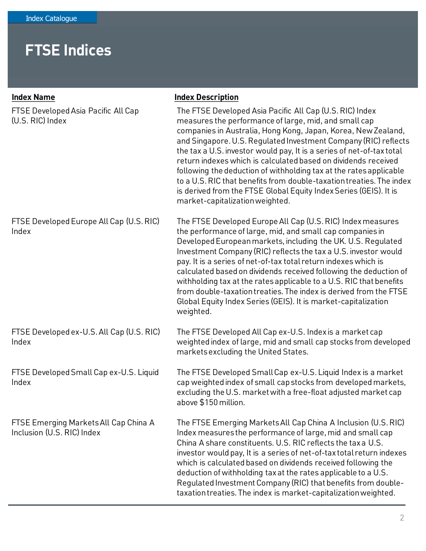## **FTSE Indices**

| <b>Index Name</b>                                                   | <b>Index Description</b>                                                                                                                                                                                                                                                                                                                                                                                                                                                                                                                                                                                                                               |
|---------------------------------------------------------------------|--------------------------------------------------------------------------------------------------------------------------------------------------------------------------------------------------------------------------------------------------------------------------------------------------------------------------------------------------------------------------------------------------------------------------------------------------------------------------------------------------------------------------------------------------------------------------------------------------------------------------------------------------------|
| FTSE Developed Asia Pacific All Cap<br>(U.S. RIC) Index             | The FTSE Developed Asia Pacific All Cap (U.S. RIC) Index<br>measures the performance of large, mid, and small cap<br>companies in Australia, Hong Kong, Japan, Korea, New Zealand,<br>and Singapore. U.S. Regulated Investment Company (RIC) reflects<br>the tax a U.S. investor would pay, It is a series of net-of-tax total<br>return indexes which is calculated based on dividends received<br>following the deduction of withholding tax at the rates applicable<br>to a U.S. RIC that benefits from double-taxation treaties. The index<br>is derived from the FTSE Global Equity Index Series (GEIS). It is<br>market-capitalization weighted. |
| FTSE Developed Europe All Cap (U.S. RIC)<br>Index                   | The FTSE Developed Europe All Cap (U.S. RIC) Index measures<br>the performance of large, mid, and small cap companies in<br>Developed European markets, including the UK. U.S. Regulated<br>Investment Company (RIC) reflects the tax a U.S. investor would<br>pay. It is a series of net-of-tax total return indexes which is<br>calculated based on dividends received following the deduction of<br>withholding tax at the rates applicable to a U.S. RIC that benefits<br>from double-taxation treaties. The index is derived from the FTSE<br>Global Equity Index Series (GEIS). It is market-capitalization<br>weighted.                         |
| FTSE Developed ex-U.S. All Cap (U.S. RIC)<br>Index                  | The FTSE Developed All Cap ex-U.S. Index is a market cap<br>weighted index of large, mid and small cap stocks from developed<br>markets excluding the United States.                                                                                                                                                                                                                                                                                                                                                                                                                                                                                   |
| FTSE Developed Small Cap ex-U.S. Liquid<br>Index                    | The FTSE Developed Small Cap ex-U.S. Liquid Index is a market<br>cap weighted index of small cap stocks from developed markets,<br>excluding the U.S. market with a free-float adjusted market cap<br>above \$150 million.                                                                                                                                                                                                                                                                                                                                                                                                                             |
| FTSE Emerging Markets All Cap China A<br>Inclusion (U.S. RIC) Index | The FTSE Emerging Markets All Cap China A Inclusion (U.S. RIC)<br>Index measures the performance of large, mid and small cap<br>China A share constituents. U.S. RIC reflects the taxa U.S.<br>investor would pay, It is a series of net-of-tax total return indexes<br>which is calculated based on dividends received following the<br>deduction of withholding tax at the rates applicable to a U.S.<br>Regulated Investment Company (RIC) that benefits from double-<br>taxation treaties. The index is market-capitalization weighted.                                                                                                            |